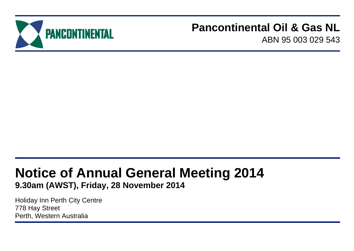

## **Pancontinental Oil & Gas NL**

ABN 95 003 029 543

# **Notice of Annual General Meeting 2014**

**9.30am (AWST), Friday, 28 November 2014**

Holiday Inn Perth City Centre 778 Hay Street Perth, Western Australia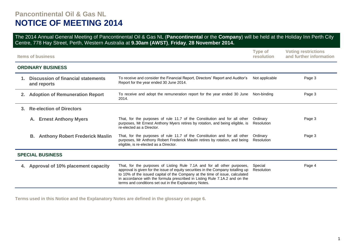### **Pancontinental Oil & Gas NL NOTICE OF MEETING 2014**

The 2014 Annual General Meeting of Pancontinental Oil & Gas NL (**Pancontinental** or the **Company**) will be held at the Holiday Inn Perth City Centre, 778 Hay Street, Perth, Western Australia at **9.30am (AWST)**, **Friday**, **28 November 2014.**

| <b>Type of</b><br><b>Voting restrictions</b><br>and further information<br>resolution<br><b>Items of business</b> |                                                          |                                                                                                                                                                                                                                                                                                                                                                                      |                        |        |  |
|-------------------------------------------------------------------------------------------------------------------|----------------------------------------------------------|--------------------------------------------------------------------------------------------------------------------------------------------------------------------------------------------------------------------------------------------------------------------------------------------------------------------------------------------------------------------------------------|------------------------|--------|--|
|                                                                                                                   | <b>ORDINARY BUSINESS</b>                                 |                                                                                                                                                                                                                                                                                                                                                                                      |                        |        |  |
| $1_{-}$                                                                                                           | <b>Discussion of financial statements</b><br>and reports | To receive and consider the Financial Report, Directors' Report and Auditor's<br>Report for the year ended 30 June 2014.                                                                                                                                                                                                                                                             | Not applicable         | Page 3 |  |
|                                                                                                                   | 2. Adoption of Remuneration Report                       | To receive and adopt the remuneration report for the year ended 30 June<br>2014.                                                                                                                                                                                                                                                                                                     | Non-binding            | Page 3 |  |
| 3.                                                                                                                | <b>Re-election of Directors</b>                          |                                                                                                                                                                                                                                                                                                                                                                                      |                        |        |  |
|                                                                                                                   | <b>Ernest Anthony Myers</b><br>А.                        | That, for the purposes of rule 11.7 of the Constitution and for all other<br>purposes, Mr Ernest Anthony Myers retires by rotation, and being eligible, is<br>re-elected as a Director.                                                                                                                                                                                              | Ordinary<br>Resolution | Page 3 |  |
|                                                                                                                   | В.<br><b>Anthony Robert Frederick Maslin</b>             | That, for the purposes of rule 11.7 of the Constitution and for all other<br>purposes, Mr Anthony Robert Frederick Maslin retires by rotation, and being<br>eligible, is re-elected as a Director.                                                                                                                                                                                   | Ordinary<br>Resolution | Page 3 |  |
| <b>SPECIAL BUSINESS</b>                                                                                           |                                                          |                                                                                                                                                                                                                                                                                                                                                                                      |                        |        |  |
|                                                                                                                   | 4. Approval of 10% placement capacity                    | That, for the purposes of Listing Rule 7.1A and for all other purposes,<br>approval is given for the issue of equity securities in the Company totalling up<br>to 10% of the issued capital of the Company at the time of issue, calculated<br>in accordance with the formula prescribed in Listing Rule 7.1A.2 and on the<br>terms and conditions set out in the Explanatory Notes. | Special<br>Resolution  | Page 4 |  |

**Terms used in this Notice and the Explanatory Notes are defined in the glossary on page 6.**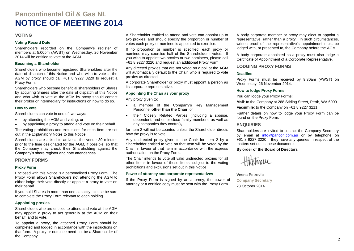### **Pancontinental Oil & Gas NL NOTICE OF MEETING 2014**

#### **VOTING**

#### **Voting Record Date**

Shareholders recorded on the Company's register of members at 5.00pm (AWST) on Wednesday, 26 November 2014 will be entitled to vote at the AGM.

#### **Becoming a Shareholder**

Shareholders who become registered Shareholders after the date of dispatch of this Notice and who wish to vote at the AGM by proxy should call +61 8 9227 3220 to request a Proxy Form.

Shareholders who become beneficial shareholders of Shares by acquiring Shares after the date of dispatch of this Notice and who wish to vote at the AGM by proxy should contact their broker or intermediary for instructions on how to do so.

#### **How to vote**

Shareholders can vote in one of two ways:

- by attending the AGM and voting; or
- by appointing a proxy to attend and vote on their behalf.

The voting prohibitions and exclusions for each Item are set out in the Explanatory Notes to this Notice.

Shareholders are asked to arrive at the venue 30 minutes prior to the time designated for the AGM, if possible, so that the Company may check their Shareholding against the Company's share register and note attendances.

#### **PROXY FORMS**

#### **Proxy Form**

Enclosed with this Notice is a personalised Proxy Form. The Proxy Form allows Shareholders not attending the AGM to either lodge their vote directly or appoint a proxy to vote on their behalf.

If you hold Shares in more than one capacity, please be sure to complete the Proxy Form relevant to each holding.

#### **Appointing proxies**

Shareholders who are entitled to attend and vote at the AGM may appoint a proxy to act generally at the AGM on their behalf, and to vote.

To appoint a proxy, the attached Proxy Form should be completed and lodged in accordance with the instructions on that form. A proxy or nominee need not be a Shareholder of the Company.

A Shareholder entitled to attend and vote can appoint up to two proxies, and should specify the proportion or number of votes each proxy or nominee is appointed to exercise.

If no proportion or number is specified, each proxy or nominee may exercise half of the Shareholder's votes. If you wish to appoint two proxies or two nominees, please call +61 8 9227 3220 and request an additional Proxy Form.

Any directed proxies that are not voted on a poll at the AGM will automatically default to the Chair, who is required to vote proxies as directed.

A corporate Shareholder or proxy must appoint a person as its corporate representative.

#### **Appointing the Chair as your proxy**

Any proxy given to:

- a member of the Company's Key Management Personnel **other than the Chair**; or
- their Closely Related Parties (including a spouse, dependent, and other close family members, as well as any companies they control)**,**

for Item 2 will not be counted unless the Shareholder directs how the proxy is to vote.

Any undirected proxy given to the Chair for Item 2 by a Shareholder entitled to vote on that Item will be voted by the Chair in favour of that Item in accordance with the express authorisation on the Proxy Form.

The Chair intends to vote all valid undirected proxies for all other Items in favour of those Items, subject to the voting prohibitions and exclusions set out in this Notice.

#### **Power of attorney and corporate representatives**

If the Proxy Form is signed by an attorney, the power of attorney or a certified copy must be sent with the Proxy Form.

A body corporate member or proxy may elect to appoint a representative, rather than a proxy. In such circumstances, written proof of the representative's appointment must be lodged with, or presented to, the Company before the AGM.

A body corporate appointed as a proxy must also lodge a Certificate of Appointment of a Corporate Representative.

#### **LODGING PROXY FORMS**

#### **Deadline**

Proxy Forms must be received by 9.30am (AWST) on Wednesday, 26 November 2014.

#### **How to lodge Proxy Forms**

You can lodge your Proxy Forms:

**Mail**: to the Company at 288 Stirling Street, Perth, WA 6000.

**Facsimile**: to the Company on +61 8 9227 3211.

Further details on how to lodge your Proxy Form can be found on the Proxy Form.

#### **ENQUIRIES**

Shareholders are invited to contact the Company Secretary by email at [info@pancon.com.au](mailto:info@pancon.com.au) or by telephone on +61 8 9227 3220 if they have any queries in respect of the matters set out in these documents.

#### **By order of the Board of Directors**

HHetwell

**Vesna Petrovic**

**Company Secretary** 28 October 2014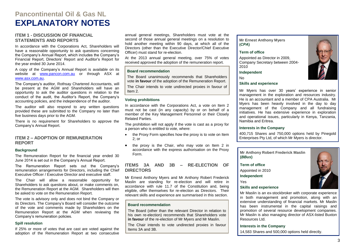### **Pancontinental Oil & Gas NL EXPLANATORY NOTES**

#### **ITEM 1 - DISCUSSION OF FINANCIAL STATEMENTS AND REPORTS**

In accordance with the Corporations Act, Shareholders will have a reasonable opportunity to ask questions concerning the Company's Annual Report, which includes the Company's Financial Report, Directors' Report and Auditor's Report for the year ended 30 June 2014.

A copy of the Company's Annual Report is available on its website at [www.pancon.com.au](http://www.pancon.com.au/) or through ASX at [www.asx.com.au.](http://www.asx.com.au/)

The Company's auditor, Rothsay Chartered Accountants, will be present at the AGM and Shareholders will have an opportunity to ask the auditor questions in relation to the conduct of the audit, the Auditor's Report, the Company's accounting policies, and the independence of the auditor.

The auditor will also respond to any written questions provided these are submitted to the Company no later than five business days prior to the AGM.

There is no requirement for Shareholders to approve the Company's Annual Report.

#### **ITEM 2 – ADOPTION OF REMUNERATION REPORT**

#### **Background**

The Remuneration Report for the financial year ended 30 June 2014 is set out in the Company's Annual Report.

The Remuneration Report sets out the Company's remuneration arrangements for Directors, including the Chief Executive Officer / Executive Director and executive staff.

The Chair will allow a reasonable opportunity for Shareholders to ask questions about, or make comments on, the Remuneration Report at the AGM. Shareholders will then be asked to vote on the Remuneration Report.

The vote is advisory only and does not bind the Company or its Directors. The Company's Board will consider the outcome of the vote and comments made by Shareholders on the Remuneration Report at the AGM when reviewing the Company's remuneration policies.

#### **Spill resolution**

If 25% or more of votes that are cast are voted against the adoption of the Remuneration Report at two consecutive

annual general meetings, Shareholders must vote at the second of those annual general meetings on a resolution to hold another meeting within 90 days, at which all of the Directors (other than the Executive Director/Chief Executive Officer) must stand for re-election.

At the 2013 annual general meeting, over 75% of votes received approved the adoption of the remuneration report.

#### **Board recommendation**

The Board unanimously recommends that Shareholders vote **in favour** of the adoption of the Remuneration Report.

The Chair intends to vote undirected proxies in favour of Item 2.

#### **Voting prohibitions**

In accordance with the Corporations Act, a vote on Item 2 must not be cast (in any capacity) by or on behalf of a member of the Key Management Personnel or their Closely Related Parties.

The prohibition will not apply if the vote is cast as a proxy for a person who is entitled to vote, where:

- the Proxy Form specifies how the proxy is to vote on Item 2; or
- the proxy is the Chair, who may vote on Item 2 in accordance with the express authorisation on the Proxy Form.

#### **ITEMS 3A AND 3B – RE-ELECTION OF DIRECTORS**

Mr Ernest Anthony Myers and Mr Anthony Robert Frederick Maslin are standing for re-election and will retire in accordance with rule 11.7 of the Constitution and, being eligible, offer themselves for re-election as Directors. Their relevant skills and experience are summarised in this section.

#### **Board recommendation**

The Board (other than the relevant Director in relation to his own re-election) recommends that Shareholders vote **in favour** of the re-election of Mr Myers and Mr Maslin.

The Chair intends to vote undirected proxies in favour Items 3A and 3B.

**Mr Ernest Anthony Myers (***CPA***)**

#### **Term of office**

Appointed as Director in 2009, Company Secretary between 2004- 2010

**Independent**

No

#### **Skills and experience**

Mr Myers has over 30 years' experience in senior management in the exploration and resources industry. He is an accountant and a member of CPA Australia. Mr Myers has been heavily involved in the day to day management of the Company and all fundraising initiatives. He has extensive experience in exploration and operational issues, particularly in Kenya, Tanzania, Namibia and Eritrea.

#### **Interests in the Company**

400,715 Shares and 750,000 options held by Pinegold Enterprises Pty Ltd, of which Mr Myers is director.



#### **Term of office**

Appointed in 2010

**Independent**

Yes

#### **Skills and experience**

Mr Maslin is an ex-stockbroker with corporate experience in both management and promotion, along with an extensive understanding of financial markets. Mr Maslin has been instrumental in the capital raisings and promotion of several resource development companies. Mr Maslin is also managing director of ASX-listed Buxton Resources Ltd.

#### **Interests in the Company**

14,583 Shares and 500,000 options held directly.

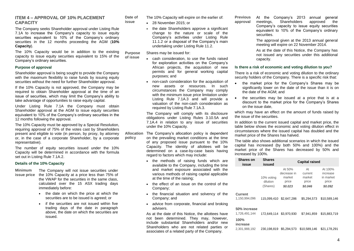#### **ITEM 4 – APPROVAL OF 10% PLACEMENT CAPACITY**

The Company seeks Shareholder approval under Listing Rule 7.1A to increase the Company's capacity to issue equity securities equivalent to 10% of the Company's ordinary securities in the 12 months proceeding the AGM (**10% Capacity**).

The 10% Capacity would be in addition to the existing capacity to issue equity securities equivalent to 15% of the Company's ordinary securities. **of issue**

#### **Purpose of approval**

Shareholder approval is being sought to provide the Company with the maximum flexibility to raise funds by issuing equity securities without the need for further Shareholder approval.

If the 10% Capacity is not approved, the Company may be required to obtain Shareholder approval at the time of an issue of securities, which may limit the Company's ability to take advantage of opportunities to raise equity capital.

Under Listing Rule 7.1A the Company must obtain Shareholder approval at the AGM to issue equity securities equivalent to 10% of the Company's ordinary securities in the 12 months following the approval.

The 10% Capacity must be approved by a Special Resolution, requiring approval of 75% of the votes cast by Shareholders present and eligible to vote (in person, by proxy, by attorney or, in the case of a corporate Shareholder, by a corporate representative).

The number of equity securities issued under the 10% Capacity will be determined in accordance with the formula set out in Listing Rule 7.1A.2.

#### **Details of the 10% Capacity**

- **Minimum**
- **issue price** the 10% Capacity at a price less than 75% of The Company will not issue securities under the VWAP for the securities in the same class, calculated over the 15 ASX trading days immediately before:
	- the date on which the price at which the securities are to be issued is agreed; or
	- if the securities are not issued within five trading days of the date in paragraph above, the date on which the securities are issued.

**Date of**  The 10% Capacity will expire on the earlier of:

28 November 2015; or

**issue**

• the date Shareholders approve a significant change to the nature or scale of the Company's activities under Listing Rule 11.1.2 or a disposal of the Company's main undertaking under Listing Rule 11.2.

**Purpose**  Shares may be issued for:

- cash consideration, to use the funds raised for exploration activities on the Company's African projects, the acquisition of new permits and for general working capital purposes; and
- non-cash consideration for the acquisition of new assets or resources. In such circumstances the Company may comply with the minimum issue price limitation under Listing Rule 7.1A.3 and will provide a valuation of the non-cash consideration as required by Listing Rule 7.1A.3.

The Company will comply with its disclosure obligations under Listing Rules 3.10.5A and 7.1A.4 in relation to any issue of securities under the 10% Capacity.

- **Allocation policy** The Company's allocation policy is dependent on the prevailing market conditions at the time of any proposed issue pursuant to the 10% Capacity. The identity of allottees will be determined on a case-by-case basis having regard to factors which may include:
	- the methods of raising funds which are available to the Company, including the time and market exposure associated with the various methods of raising capital applicable at the time of the raising;
	- the effect of an issue on the control of the Company;
	- the financial situation and solvency of the Company; and
	- advice from corporate, financial and broking advisers.

As at the date of this Notice, the allottees have not been determined. They may, however, include substantial Shareholders and/or new Shareholders who are not related parties or associates of a related party of the Company.

**Previous approval** At the Company's 2013 annual general<br>meetings, Shareholders approved the meetings, Shareholders approved the Company's capacity to issue equity securities equivalent to 10% of the Company's ordinary

> The approval given at the 2013 annual general meeting will expire on 22 November 2014.

> As at the date of this Notice, the Company has not issued any securities under this additional capacity.

#### **Is there a risk of economic and voting dilution to you?**

securities.

There is a risk of economic and voting dilution to the ordinary security holders of the Company. There is a specific risk that:

- the market price for the Company's Shares may be significantly lower on the date of the issue than it is on the date of the AGM; and
- the securities may be issued at a price that is at a discount to the market price for the Company's Shares on the issue date,

which may have an effect on the amount of funds raised by the issue of the securities.

In addition to the current issued capital and market price, the table below shows the economic and voting dilution effect in circumstances where the issued capital has doubled and the market price of the Shares has halved.

The table also shows additional scenarios in which the issued capital has increased (by both 50% and 100%) and the market price of the Shares has decreased by 50% and increased by 100%.

| <b>Shares on</b><br>issue             | <b>Shares</b><br>issued            | <b>Capital raised</b>                               |                                             |                                                      |
|---------------------------------------|------------------------------------|-----------------------------------------------------|---------------------------------------------|------------------------------------------------------|
|                                       | 10% voting<br>dilution<br>(Shares) | At 50%<br>decrease in<br>market<br>price<br>\$0.023 | At<br>current<br>market<br>price<br>\$0.046 | At 100%<br>increase<br>in market<br>price<br>\$0.092 |
| <b>Current</b><br>1,150,994,096       | 115.099.410                        | \$2.647.286                                         | \$5.294.573                                 | \$10.589.146                                         |
| 50% increase<br>1.726.491.144<br>100% | 172,649,114 \$3,970,930            |                                                     | \$7.941.859                                 | \$15,883,719                                         |
| increase<br>2,301,988,192             | 230.198.819                        | \$5,294,573                                         | \$10,589,146                                | \$21.178.291                                         |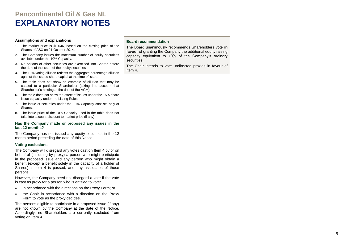### **Pancontinental Oil & Gas NL EXPLANATORY NOTES**

#### **Assumptions and explanations**

- 1. The market price is \$0.046, based on the closing price of the Shares of ASX on 21 October 2014.
- 2. The Company issues the maximum number of equity securities available under the 10% Capacity.
- 3. No options of other securities are exercised into Shares before the date of the issue of the equity securities.
- 4. The 10% voting dilution reflects the aggregate percentage dilution against the issued share capital at the time of issue.
- 5. The table does not show an example of dilution that may be caused to a particular Shareholder (taking into account that Shareholder's holding at the date of the AGM).
- 6. The table does not show the effect of issues under the 15% share issue capacity under the Listing Rules.
- 7. The issue of securities under the 10% Capacity consists only of Shares.
- 8. The issue price of the 10% Capacity used in the table does not take into account discount to market price (if any).

#### **Has the Company made or proposed any issues in the last 12 months?**

The Company has not issued any equity securities in the 12 month period preceding the date of this Notice .

#### **Voting exclusions**

The Company will disregard any votes cast on Item 4 by or on behalf of (including by proxy) a person who might participate in the proposed issue and any person who might obtain a benefit (except a benefit solely in the capacity of a holder of Shares) if Item 4 is passed, and any associates of those persons.

However, the Company need not disregard a vote if the vote is cast as proxy for a person who is entitled to vote:

- in accordance with the directions on the Proxy Form; or
- the Chair in accordance with a direction on the Proxy Form to vote as the proxy decides.

The persons eligible to participate in a proposed issue (if any) are not known by the Company at the date of the Notice. Accordingly, no Shareholders are currently excluded from voting on Item 4 .

#### **Board recommendation**

The Board unanimously recommends Shareholders vote **in favour** of granting the Company the additional equity raising capacity equivalent to 10% of the Company's ordinary securities .

The Chair intends to vote undirected proxies in favour of Item 4 .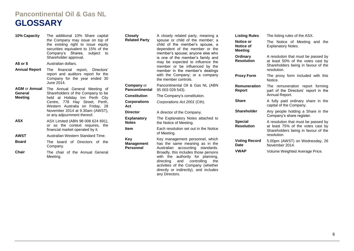### **Pancontinental Oil & Gas NL GLOSSARY**

| 10% Capacity         | The additional 10% Share capital<br>the Company may issue on top of<br>the existing right to issue equity<br>securities equivalent to 15% of the<br>Company's Shares, subject to                                           | <b>Closely</b><br><b>Related Party</b>       | A closely related party, meaning a<br>spouse or child of the member; a<br>child of the member's spouse, a<br>dependent of the member or the<br>member's spouse; anyone else who | <b>Listing Rules</b><br>Notice or<br>Notice of<br><b>Meeting</b>                                      | The listing rules of the ASX.<br>The Notice of Meeting and the<br><b>Explanatory Notes.</b> |                                                  |
|----------------------|----------------------------------------------------------------------------------------------------------------------------------------------------------------------------------------------------------------------------|----------------------------------------------|---------------------------------------------------------------------------------------------------------------------------------------------------------------------------------|-------------------------------------------------------------------------------------------------------|---------------------------------------------------------------------------------------------|--------------------------------------------------|
|                      | Shareholder approval.                                                                                                                                                                                                      |                                              | is one of the member's family and                                                                                                                                               | Ordinary<br><b>Resolution</b>                                                                         | A resolution that must be passed by<br>at least 50% of the votes cast by                    |                                                  |
| A\$ or \$            | Australian dollars.                                                                                                                                                                                                        |                                              | may be expected to influence the<br>member or be influenced by the<br>member in the member's dealings<br>with the Company; or a company<br>the member controls.                 |                                                                                                       | Shareholders being in favour of the<br>resolution.                                          |                                                  |
| Annual Report        | The financial report,<br>Directors'                                                                                                                                                                                        |                                              |                                                                                                                                                                                 |                                                                                                       |                                                                                             |                                                  |
|                      | report and auditors report for the<br>Company for the year ended 30                                                                                                                                                        |                                              |                                                                                                                                                                                 | <b>Proxy Form</b>                                                                                     | The proxy form included with this<br>Notice.                                                |                                                  |
| <b>AGM or Annual</b> | June 2014.<br>The Annual General Meeting of<br>Shareholders of the Company to be<br>held at Holiday Inn Perth City<br>Centre, 778 Hay Street, Perth,<br>Western Australia on Friday, 28<br>November 2014 at 9.30am (AWST), | <b>Company or</b><br><b>Pancontinental</b>   | Pancontinental Oil & Gas NL (ABN<br>95 003 029 543).                                                                                                                            | <b>Remuneration</b><br>Report                                                                         | The remuneration report forming<br>part of the Directors' report in the<br>Annual Report.   |                                                  |
| General<br>Meeting   |                                                                                                                                                                                                                            | <b>Constitution</b>                          | The Company's constitution.                                                                                                                                                     |                                                                                                       |                                                                                             |                                                  |
|                      |                                                                                                                                                                                                                            | <b>Corporations</b><br>Act                   | Corporations Act 2001 (Cth).                                                                                                                                                    | <b>Share</b>                                                                                          | A fully paid ordinary share in the<br>capital of the Company.                               |                                                  |
|                      |                                                                                                                                                                                                                            | <b>Director</b>                              | A director of the Company.                                                                                                                                                      | <b>Shareholder</b>                                                                                    | Any people holding a Share in the                                                           |                                                  |
|                      | or any adjournment thereof.<br>ASX Limited (ABN 98 008 624 691),<br>or as the context requires, the<br>financial market operated by it.                                                                                    | <b>Explanatory</b>                           | The Explanatory Notes attached to                                                                                                                                               | <b>Special</b><br><b>Resolution</b>                                                                   | Company's share register.                                                                   |                                                  |
| <b>ASX</b>           |                                                                                                                                                                                                                            | <b>Notes</b>                                 | the Notice of Meeting.                                                                                                                                                          |                                                                                                       | A resolution that must be passed by                                                         |                                                  |
|                      |                                                                                                                                                                                                                            | <b>Item</b>                                  | Each resolution set out in the Notice                                                                                                                                           |                                                                                                       | at least 75% of the votes cast by<br>Shareholders being in favour of the                    |                                                  |
| <b>AWST</b>          | Australian Western Standard Time.                                                                                                                                                                                          |                                              | of Meeting.                                                                                                                                                                     |                                                                                                       | resolution.                                                                                 |                                                  |
| Board                | The board of Directors of the<br>Company.                                                                                                                                                                                  | Key<br><b>Management</b><br><b>Personnel</b> |                                                                                                                                                                                 | Key management personnel, which<br>has the same meaning as in the<br>Australian accounting standards. | <b>Voting Record</b><br>Date                                                                | 5.00pm (AWST) on Wednesday, 26<br>November 2014. |
| Chair                | The chair of the Annual General<br>Meeting.                                                                                                                                                                                |                                              | Broadly, this includes those persons<br>with the authority for planning,                                                                                                        | <b>VWAP</b>                                                                                           | Volume Weighted Average Price.                                                              |                                                  |

any Directors.

directing and controlling the activities of the Company (whether directly or indirectly), and includes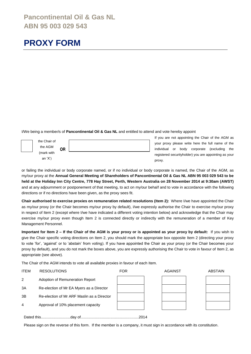### **Pancontinental Oil & Gas NL ABN 95 003 029 543**

### **PROXY FORM**

I/We being a member/s of **Pancontinental Oil & Gas NL** and entitled to attend and vote hereby appoint

| the Chair of |           |  |
|--------------|-----------|--|
| the AGM      | <b>OR</b> |  |
| (mark with   |           |  |
| an $'X'$ )   |           |  |

If you are not appointing the Chair of the AGM as your proxy please write here the full name of the individual or body corporate (excluding the registered securityholder) you are appointing as your proxy.

or failing the individual or body corporate named, or if no individual or body corporate is named, the Chair of the AGM, as my/our proxy at the **Annual General Meeting of Shareholders of Pancontinental Oil & Gas NL ABN 95 003 029 543 to be held at the Holiday Inn City Centre, 778 Hay Street, Perth, Western Australia on 28 November 2014 at 9:30am (AWST)**  and at any adjournment or postponement of that meeting, to act on my/our behalf and to vote in accordance with the following directions or if no directions have been given, as the proxy sees fit.

**Chair authorised to exercise proxies on remuneration related resolutions (Item 2):** Where I/we have appointed the Chair as my/our proxy (or the Chair becomes my/our proxy by default), I/we expressly authorise the Chair to exercise my/our proxy in respect of Item 2 (except where I/we have indicated a different voting intention below) and acknowledge that the Chair may exercise my/our proxy even though Item 2 is connected directly or indirectly with the remuneration of a member of Key Management Personnel.

**Important for Item 2 – If the Chair of the AGM is your proxy or is appointed as your proxy by default:** If you wish to give the Chair specific voting directions on Item 2, you should mark the appropriate box opposite Item 2 (directing your proxy to vote 'for', 'against' or to 'abstain' from voting). If you have appointed the Chair as your proxy (or the Chair becomes your proxy by default), and you do not mark the boxes above, you are expressly authorising the Chair to vote in favour of Item 2, as appropriate (see above).

The Chair of the AGM intends to vote all available proxies in favour of each Item.

| <b>ITEM</b> | <b>RESOLUTIONS</b>                         | <b>FOR</b> | <b>AGAINST</b> | <b>ABSTAIN</b> |  |
|-------------|--------------------------------------------|------------|----------------|----------------|--|
| 2           | Adoption of Remuneration Report            |            |                |                |  |
| 3A          | Re-election of Mr EA Myers as a Director   |            |                |                |  |
| 3B          | Re-election of Mr ARF Maslin as a Director |            |                |                |  |
| 4           | Approval of 10% placement capacity         |            |                |                |  |
| .2014       |                                            |            |                |                |  |

Please sign on the reverse of this form. If the member is a company, it must sign in accordance with its constitution.